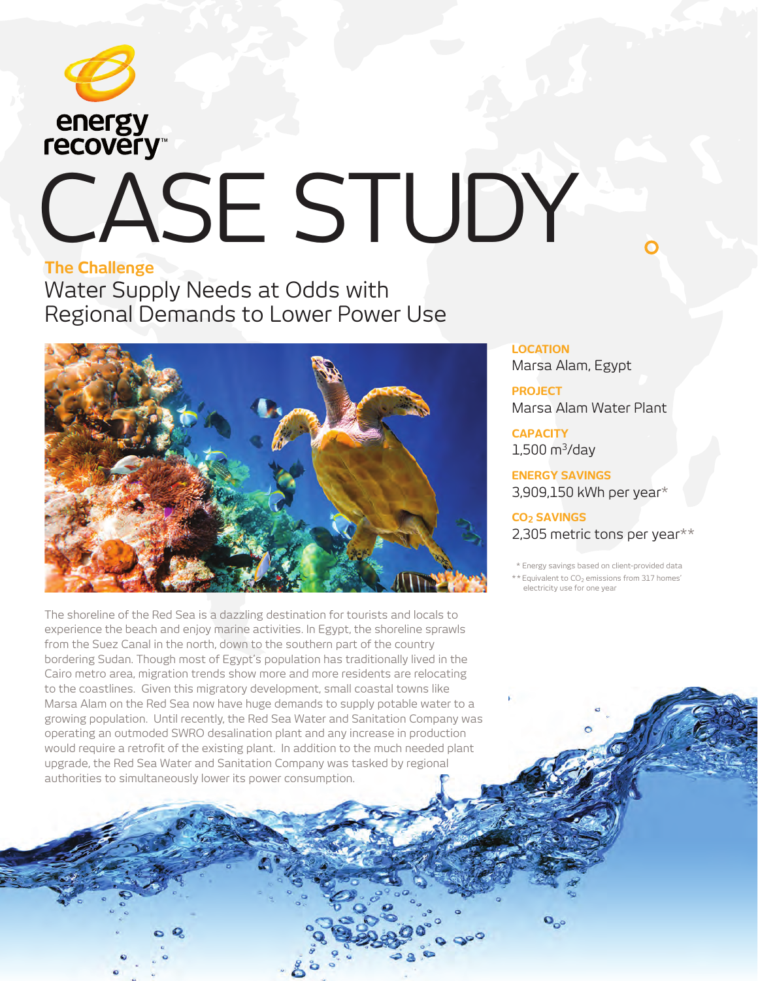

# energy<br> **recovery** CASE STUDY

### **The Challenge**

Water Supply Needs at Odds with Regional Demands to Lower Power Use



The shoreline of the Red Sea is a dazzling destination for tourists and locals to experience the beach and enjoy marine activities. In Egypt, the shoreline sprawls from the Suez Canal in the north, down to the southern part of the country bordering Sudan. Though most of Egypt's population has traditionally lived in the Cairo metro area, migration trends show more and more residents are relocating to the coastlines. Given this migratory development, small coastal towns like Marsa Alam on the Red Sea now have huge demands to supply potable water to a growing population. Until recently, the Red Sea Water and Sanitation Company was operating an outmoded SWRO desalination plant and any increase in production would require a retrofit of the existing plant. In addition to the much needed plant upgrade, the Red Sea Water and Sanitation Company was tasked by regional authorities to simultaneously lower its power consumption.

**LOCATION** Marsa Alam, Egypt

**PROJECT** Marsa Alam Water Plant

**CAPACITY**  $1,500 \text{ m}^3/\text{day}$ 

 $\mathbf{Q}_{\alpha}$ 

**ENERGY SAVINGS**  3,909,150 kWh per year\*

**CO2 SAVINGS**  2,305 metric tons per year $**$ 

\* Energy savings based on client-provided data

\* \* Equivalent to CO<sub>2</sub> emissions from 317 homes' electricity use for one year